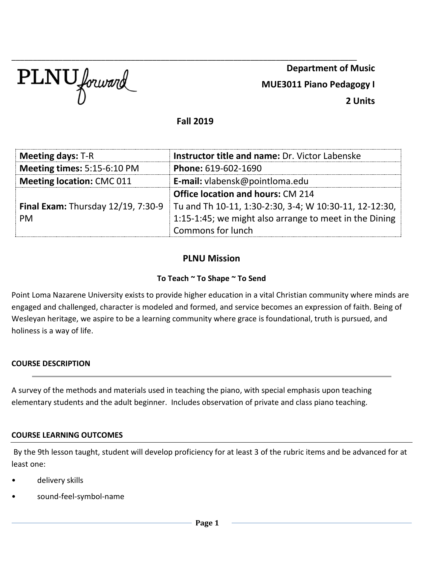

\_\_\_\_\_\_\_\_\_\_\_\_\_\_\_\_\_\_\_\_\_\_\_\_\_\_\_\_\_\_\_\_\_\_\_\_\_\_\_\_\_\_\_\_\_\_\_\_\_\_\_\_\_\_\_\_\_\_\_\_\_\_\_\_\_\_\_\_\_\_\_\_\_\_\_\_\_\_\_\_\_ **Department of Music MUE3011 Piano Pedagogy I 2 Units**

**Fall 2019**

| <b>Meeting days: T-R</b>                  | <b>Instructor title and name: Dr. Victor Labenske</b>  |  |
|-------------------------------------------|--------------------------------------------------------|--|
| Meeting times: 5:15-6:10 PM               | Phone: 619-602-1690                                    |  |
| <b>Meeting location: CMC 011</b>          | <b>E-mail:</b> vlabensk@pointloma.edu                  |  |
|                                           | <b>Office location and hours: CM 214</b>               |  |
| <b>Final Exam: Thursday 12/19, 7:30-9</b> | Tu and Th 10-11, 1:30-2:30, 3-4; W 10:30-11, 12-12:30, |  |
| <b>PM</b>                                 | 1:15-1:45; we might also arrange to meet in the Dining |  |
|                                           | Commons for lunch                                      |  |

## **PLNU Mission**

#### **To Teach ~ To Shape ~ To Send**

Point Loma Nazarene University exists to provide higher education in a vital Christian community where minds are engaged and challenged, character is modeled and formed, and service becomes an expression of faith. Being of Wesleyan heritage, we aspire to be a learning community where grace is foundational, truth is pursued, and holiness is a way of life.

#### **COURSE DESCRIPTION**

A survey of the methods and materials used in teaching the piano, with special emphasis upon teaching elementary students and the adult beginner. Includes observation of private and class piano teaching.

#### **COURSE LEARNING OUTCOMES**

By the 9th lesson taught, student will develop proficiency for at least 3 of the rubric items and be advanced for at least one:

- delivery skills
- sound-feel-symbol-name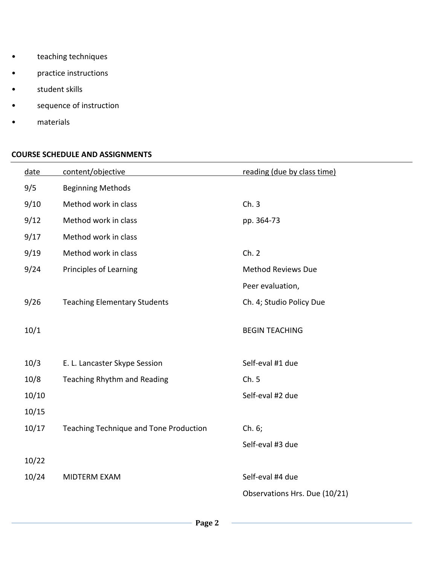- teaching techniques
- practice instructions
- student skills
- sequence of instruction
- materials

## **COURSE SCHEDULE AND ASSIGNMENTS**

| date  | content/objective                      | reading (due by class time)   |
|-------|----------------------------------------|-------------------------------|
| 9/5   | <b>Beginning Methods</b>               |                               |
| 9/10  | Method work in class                   | Ch.3                          |
| 9/12  | Method work in class                   | pp. 364-73                    |
| 9/17  | Method work in class                   |                               |
| 9/19  | Method work in class                   | Ch. 2                         |
| 9/24  | <b>Principles of Learning</b>          | <b>Method Reviews Due</b>     |
|       |                                        | Peer evaluation,              |
| 9/26  | <b>Teaching Elementary Students</b>    | Ch. 4; Studio Policy Due      |
|       |                                        |                               |
| 10/1  |                                        | <b>BEGIN TEACHING</b>         |
|       |                                        |                               |
| 10/3  | E. L. Lancaster Skype Session          | Self-eval #1 due              |
| 10/8  | Teaching Rhythm and Reading            | Ch.5                          |
| 10/10 |                                        | Self-eval #2 due              |
| 10/15 |                                        |                               |
| 10/17 | Teaching Technique and Tone Production | Ch. 6;                        |
|       |                                        | Self-eval #3 due              |
| 10/22 |                                        |                               |
| 10/24 | MIDTERM EXAM                           | Self-eval #4 due              |
|       |                                        | Observations Hrs. Due (10/21) |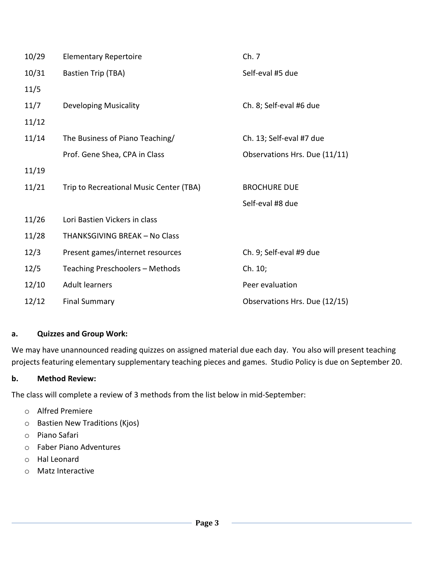| 10/29 | <b>Elementary Repertoire</b>            | Ch. 7                         |  |
|-------|-----------------------------------------|-------------------------------|--|
| 10/31 | Bastien Trip (TBA)                      | Self-eval #5 due              |  |
| 11/5  |                                         |                               |  |
| 11/7  | <b>Developing Musicality</b>            | Ch. 8; Self-eval #6 due       |  |
| 11/12 |                                         |                               |  |
| 11/14 | The Business of Piano Teaching/         | Ch. 13; Self-eval #7 due      |  |
|       | Prof. Gene Shea, CPA in Class           | Observations Hrs. Due (11/11) |  |
| 11/19 |                                         |                               |  |
| 11/21 | Trip to Recreational Music Center (TBA) | <b>BROCHURE DUE</b>           |  |
|       |                                         | Self-eval #8 due              |  |
| 11/26 | Lori Bastien Vickers in class           |                               |  |
| 11/28 | THANKSGIVING BREAK - No Class           |                               |  |
| 12/3  | Present games/internet resources        | Ch. 9; Self-eval #9 due       |  |
| 12/5  | Teaching Preschoolers - Methods         | Ch. 10;                       |  |
| 12/10 | <b>Adult learners</b>                   | Peer evaluation               |  |
| 12/12 |                                         |                               |  |

### **a. Quizzes and Group Work:**

We may have unannounced reading quizzes on assigned material due each day. You also will present teaching projects featuring elementary supplementary teaching pieces and games. Studio Policy is due on September 20.

### **b. Method Review:**

The class will complete a review of 3 methods from the list below in mid-September:

- o Alfred Premiere
- o Bastien New Traditions (Kjos)
- o Piano Safari
- o Faber Piano Adventures
- o Hal Leonard
- o Matz Interactive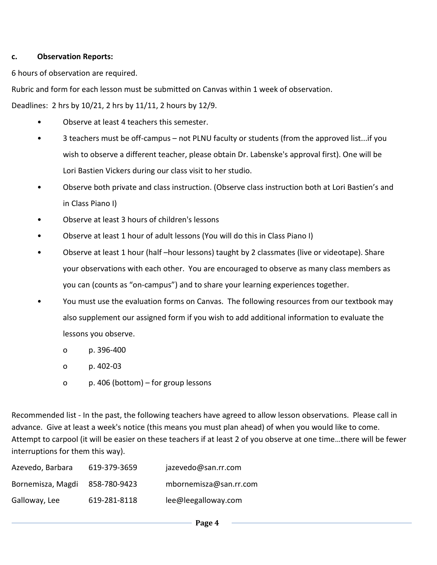#### **c. Observation Reports:**

6 hours of observation are required.

Rubric and form for each lesson must be submitted on Canvas within 1 week of observation.

Deadlines: 2 hrs by 10/21, 2 hrs by 11/11, 2 hours by 12/9.

- Observe at least 4 teachers this semester.
- 3 teachers must be off-campus not PLNU faculty or students (from the approved list...if you wish to observe a different teacher, please obtain Dr. Labenske's approval first). One will be Lori Bastien Vickers during our class visit to her studio.
- Observe both private and class instruction. (Observe class instruction both at Lori Bastien's and in Class Piano I)
- Observe at least 3 hours of children's lessons
- Observe at least 1 hour of adult lessons (You will do this in Class Piano I)
- Observe at least 1 hour (half –hour lessons) taught by 2 classmates (live or videotape). Share your observations with each other. You are encouraged to observe as many class members as you can (counts as "on-campus") and to share your learning experiences together.
- You must use the evaluation forms on Canvas. The following resources from our textbook may also supplement our assigned form if you wish to add additional information to evaluate the lessons you observe.
	- o p. 396-400
	- o p. 402-03
	- o p. 406 (bottom) for group lessons

Recommended list - In the past, the following teachers have agreed to allow lesson observations. Please call in advance. Give at least a week's notice (this means you must plan ahead) of when you would like to come. Attempt to carpool (it will be easier on these teachers if at least 2 of you observe at one time…there will be fewer interruptions for them this way).

| Azevedo, Barbara  | 619-379-3659 | jazevedo@san.rr.com    |
|-------------------|--------------|------------------------|
| Bornemisza, Magdi | 858-780-9423 | mbornemisza@san.rr.com |
| Galloway, Lee     | 619-281-8118 | lee@leegalloway.com    |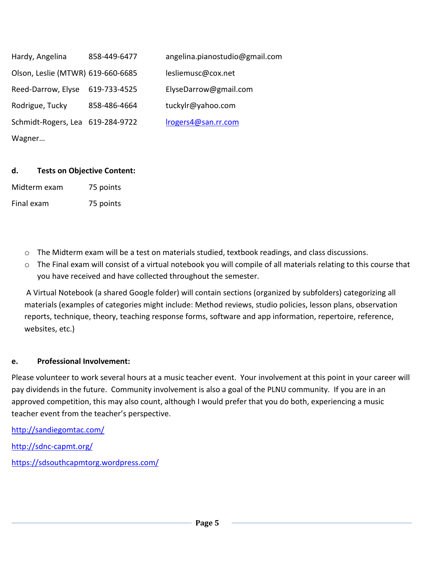Hardy, Angelina 858-449-6477 angelina.pianostudio@gmail.com Olson, Leslie (MTWR) 619-660-6685 lesliemusc@cox.net Reed-Darrow, Elyse 619-733-4525 ElyseDarrow@gmail.com Rodrigue, Tucky 858-486-4664 tuckylr@yahoo.com Schmidt-Rogers, Lea 619-284-9722 [lrogers4@san.rr.com](mailto:lrogers4@san.rr.com) Wagner…

## **d. Tests on Objective Content:**

Midterm exam 75 points

Final exam 75 points

- $\circ$  The Midterm exam will be a test on materials studied, textbook readings, and class discussions.
- o The Final exam will consist of a virtual notebook you will compile of all materials relating to this course that you have received and have collected throughout the semester.

A Virtual Notebook (a shared Google folder) will contain sections (organized by subfolders) categorizing all materials (examples of categories might include: Method reviews, studio policies, lesson plans, observation reports, technique, theory, teaching response forms, software and app information, repertoire, reference, websites, etc.)

### **e. Professional Involvement:**

Please volunteer to work several hours at a music teacher event. Your involvement at this point in your career will pay dividends in the future. Community involvement is also a goal of the PLNU community. If you are in an approved competition, this may also count, although I would prefer that you do both, experiencing a music teacher event from the teacher's perspective.

<http://sandiegomtac.com/>

<http://sdnc-capmt.org/>

<https://sdsouthcapmtorg.wordpress.com/>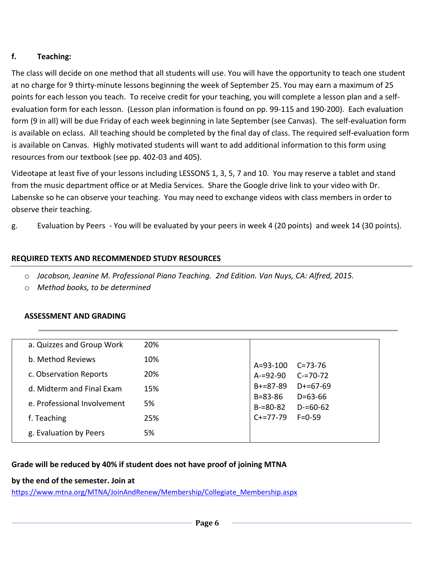# **f. Teaching:**

The class will decide on one method that all students will use. You will have the opportunity to teach one student at no charge for 9 thirty-minute lessons beginning the week of September 25. You may earn a maximum of 25 points for each lesson you teach. To receive credit for your teaching, you will complete a lesson plan and a selfevaluation form for each lesson. (Lesson plan information is found on pp. 99-115 and 190-200). Each evaluation form (9 in all) will be due Friday of each week beginning in late September (see Canvas). The self-evaluation form is available on eclass. All teaching should be completed by the final day of class. The required self-evaluation form is available on Canvas. Highly motivated students will want to add additional information to this form using resources from our textbook (see pp. 402-03 and 405).

Videotape at least five of your lessons including LESSONS 1, 3, 5, 7 and 10. You may reserve a tablet and stand from the music department office or at Media Services. Share the Google drive link to your video with Dr. Labenske so he can observe your teaching. You may need to exchange videos with class members in order to observe their teaching.

g. Evaluation by Peers - You will be evaluated by your peers in week 4 (20 points) and week 14 (30 points).

# **REQUIRED TEXTS AND RECOMMENDED STUDY RESOURCES**

- o *Jacobson, Jeanine M. Professional Piano Teaching. 2nd Edition. Van Nuys, CA: Alfred, 2015.*
- o *Method books, to be determined*

### **ASSESSMENT AND GRADING**

| a. Quizzes and Group Work   | 20% |                                              |                                                                                |
|-----------------------------|-----|----------------------------------------------|--------------------------------------------------------------------------------|
| b. Method Reviews           | 10% | A=93-100                                     | $C = 73 - 76$<br>$C = 70 - 72$<br>$D+=67-69$<br>$D = 63 - 66$<br>$D = 60 - 62$ |
| c. Observation Reports      | 20% | $A = 92 - 90$                                |                                                                                |
| d. Midterm and Final Exam   | 15% | $B+=87-89$<br>$B = 83 - 86$<br>$B = 80 - 82$ |                                                                                |
| e. Professional Involvement | 5%  |                                              |                                                                                |
| f. Teaching                 | 25% | $C+=77-79$                                   | $F = 0.59$                                                                     |
| g. Evaluation by Peers      | 5%  |                                              |                                                                                |

### **Grade will be reduced by 40% if student does not have proof of joining MTNA**

### **by the end of the semester. Join at**

[https://www.mtna.org/MTNA/JoinAndRenew/Membership/Collegiate\\_Membership.aspx](https://www.mtna.org/MTNA/JoinAndRenew/Membership/Collegiate_Membership.aspx)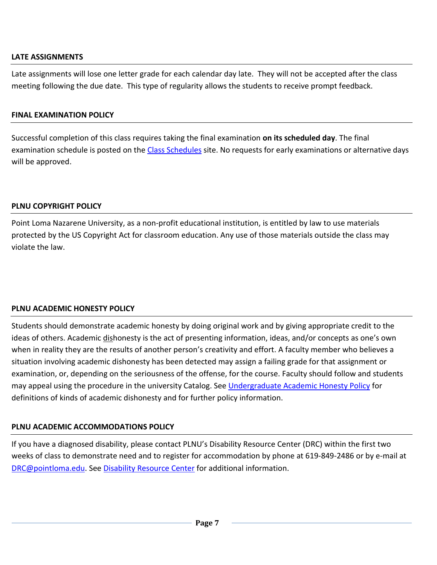### **LATE ASSIGNMENTS**

Late assignments will lose one letter grade for each calendar day late. They will not be accepted after the class meeting following the due date. This type of regularity allows the students to receive prompt feedback.

### **FINAL EXAMINATION POLICY**

Successful completion of this class requires taking the final examination **on its scheduled day**. The final examination schedule is posted on the [Class Schedules](https://www.pointloma.edu/offices/records/undergraduate-records) site. No requests for early examinations or alternative days will be approved.

## **PLNU COPYRIGHT POLICY**

Point Loma Nazarene University, as a non-profit educational institution, is entitled by law to use materials protected by the US Copyright Act for classroom education. Any use of those materials outside the class may violate the law.

# **PLNU ACADEMIC HONESTY POLICY**

Students should demonstrate academic honesty by doing original work and by giving appropriate credit to the ideas of others. Academic dishonesty is the act of presenting information, ideas, and/or concepts as one's own when in reality they are the results of another person's creativity and effort. A faculty member who believes a situation involving academic dishonesty has been detected may assign a failing grade for that assignment or examination, or, depending on the seriousness of the offense, for the course. Faculty should follow and students may appeal using the procedure in the university Catalog. See [Undergraduate Academic Honesty Policy](https://catalog.pointloma.edu/content.php?catoid=41&navoid=2435#Academic_Honesty) for definitions of kinds of academic dishonesty and for further policy information.

# **PLNU ACADEMIC ACCOMMODATIONS POLICY**

If you have a diagnosed disability, please contact PLNU's Disability Resource Center (DRC) within the first two weeks of class to demonstrate need and to register for accommodation by phone at 619-849-2486 or by e-mail at [DRC@pointloma.edu.](mailto:DRC@pointloma.edu) See [Disability Resource Center](http://www.pointloma.edu/experience/offices/administrative-offices/academic-advising-office/disability-resource-center) for additional information.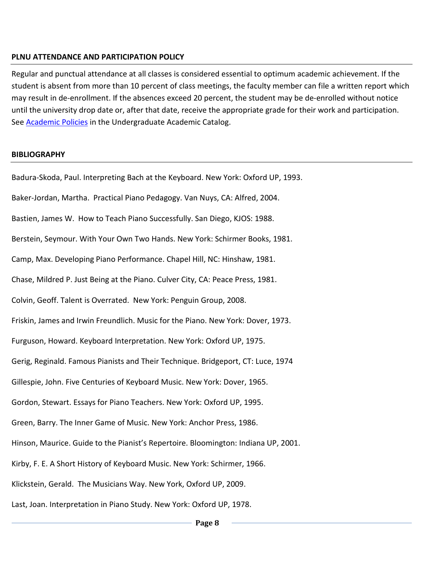#### **PLNU ATTENDANCE AND PARTICIPATION POLICY**

Regular and punctual attendance at all classes is considered essential to optimum academic achievement. If the student is absent from more than 10 percent of class meetings, the faculty member can file a written report which may result in de-enrollment. If the absences exceed 20 percent, the student may be de-enrolled without notice until the university drop date or, after that date, receive the appropriate grade for their work and participation. See [Academic Policies](http://catalog.pointloma.edu/content.php?catoid=18&navoid=1278) in the Undergraduate Academic Catalog.

#### **BIBLIOGRAPHY**

Badura-Skoda, Paul. Interpreting Bach at the Keyboard. New York: Oxford UP, 1993. Baker-Jordan, Martha. Practical Piano Pedagogy. Van Nuys, CA: Alfred, 2004. Bastien, James W. How to Teach Piano Successfully. San Diego, KJOS: 1988. Berstein, Seymour. With Your Own Two Hands. New York: Schirmer Books, 1981. Camp, Max. Developing Piano Performance. Chapel Hill, NC: Hinshaw, 1981. Chase, Mildred P. Just Being at the Piano. Culver City, CA: Peace Press, 1981. Colvin, Geoff. Talent is Overrated. New York: Penguin Group, 2008. Friskin, James and Irwin Freundlich. Music for the Piano. New York: Dover, 1973. Furguson, Howard. Keyboard Interpretation. New York: Oxford UP, 1975. Gerig, Reginald. Famous Pianists and Their Technique. Bridgeport, CT: Luce, 1974 Gillespie, John. Five Centuries of Keyboard Music. New York: Dover, 1965. Gordon, Stewart. Essays for Piano Teachers. New York: Oxford UP, 1995. Green, Barry. The Inner Game of Music. New York: Anchor Press, 1986. Hinson, Maurice. Guide to the Pianist's Repertoire. Bloomington: Indiana UP, 2001. Kirby, F. E. A Short History of Keyboard Music. New York: Schirmer, 1966. Klickstein, Gerald. The Musicians Way. New York, Oxford UP, 2009. Last, Joan. Interpretation in Piano Study. New York: Oxford UP, 1978.